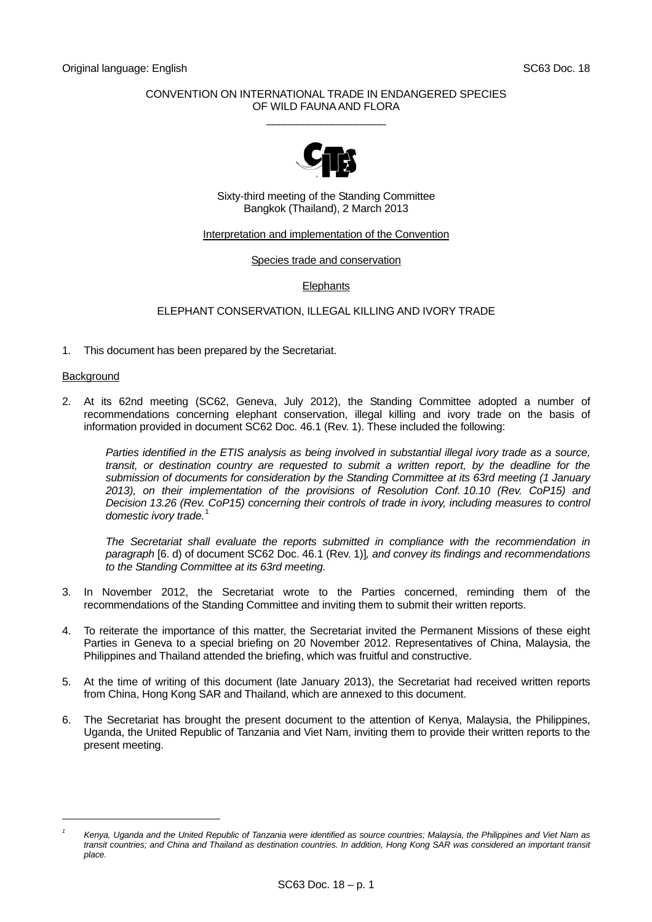## CONVENTION ON INTERNATIONAL TRADE IN ENDANGERED SPECIES OF WILD FAUNA AND FLORA  $\_$



Sixty-third meeting of the Standing Committee Bangkok (Thailand), 2 March 2013

### Interpretation and implementation of the Convention

### Species trade and conservation

# **Elephants**

# ELEPHANT CONSERVATION, ILLEGAL KILLING AND IVORY TRADE

1. This document has been prepared by the Secretariat.

### **Background**

l

2. At its 62nd meeting (SC62, Geneva, July 2012), the Standing Committee adopted a number of recommendations concerning elephant conservation, illegal killing and ivory trade on the basis of information provided in document SC62 Doc. 46.1 (Rev. 1). These included the following:

 *Parties identified in the ETIS analysis as being involved in substantial illegal ivory trade as a source,*  transit, or destination country are requested to submit a written report, by the deadline for the *submission of documents for consideration by the Standing Committee at its 63rd meeting (1 January 2013), on their implementation of the provisions of Resolution Conf. 10.10 (Rev. CoP15) and Decision 13.26 (Rev. CoP15) concerning their controls of trade in ivory, including measures to control domestic ivory trade.*[1](#page-0-0)

 *The Secretariat shall evaluate the reports submitted in compliance with the recommendation in paragraph* [6. d) of document SC62 Doc. 46.1 (Rev. 1)]*, and convey its findings and recommendations to the Standing Committee at its 63rd meeting.* 

- 3. In November 2012, the Secretariat wrote to the Parties concerned, reminding them of the recommendations of the Standing Committee and inviting them to submit their written reports.
- 4. To reiterate the importance of this matter, the Secretariat invited the Permanent Missions of these eight Parties in Geneva to a special briefing on 20 November 2012. Representatives of China, Malaysia, the Philippines and Thailand attended the briefing, which was fruitful and constructive.
- 5. At the time of writing of this document (late January 2013), the Secretariat had received written reports from China, Hong Kong SAR and Thailand, which are annexed to this document.
- 6. The Secretariat has brought the present document to the attention of Kenya, Malaysia, the Philippines, Uganda, the United Republic of Tanzania and Viet Nam, inviting them to provide their written reports to the present meeting.

<span id="page-0-0"></span>*<sup>1</sup> Kenya, Uganda and the United Republic of Tanzania were identified as source countries; Malaysia, the Philippines and Viet Nam as*  transit countries; and China and Thailand as destination countries. In addition, Hong Kong SAR was considered an important transit *place.*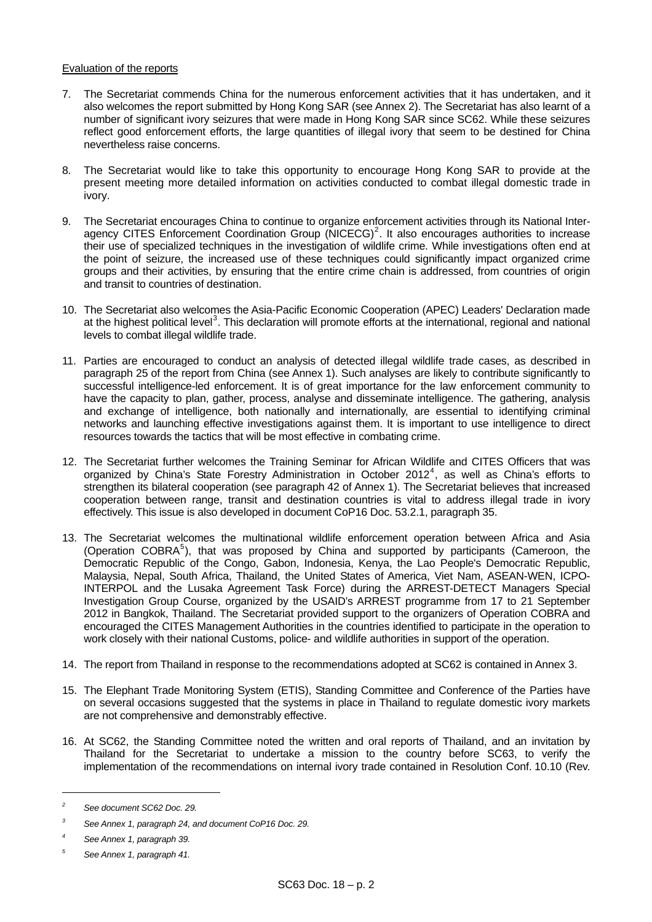# Evaluation of the reports

- 7. The Secretariat commends China for the numerous enforcement activities that it has undertaken, and it also welcomes the report submitted by Hong Kong SAR (see Annex 2). The Secretariat has also learnt of a number of significant ivory seizures that were made in Hong Kong SAR since SC62. While these seizures reflect good enforcement efforts, the large quantities of illegal ivory that seem to be destined for China nevertheless raise concerns.
- 8. The Secretariat would like to take this opportunity to encourage Hong Kong SAR to provide at the present meeting more detailed information on activities conducted to combat illegal domestic trade in ivory.
- 9. The Secretariat encourages China to continue to organize enforcement activities through its National Interagency CITES Enforcement Coordination Group ( $NICECG)^2$  $NICECG)^2$ . It also encourages authorities to increase their use of specialized techniques in the investigation of wildlife crime. While investigations often end at the point of seizure, the increased use of these techniques could significantly impact organized crime groups and their activities, by ensuring that the entire crime chain is addressed, from countries of origin and transit to countries of destination.
- 10. The Secretariat also welcomes the Asia-Pacific Economic Cooperation (APEC) Leaders' Declaration made at the highest political level<sup>[3](#page-1-1)</sup>. This declaration will promote efforts at the international, regional and national levels to combat illegal wildlife trade.
- 11. Parties are encouraged to conduct an analysis of detected illegal wildlife trade cases, as described in paragraph 25 of the report from China (see Annex 1). Such analyses are likely to contribute significantly to successful intelligence-led enforcement. It is of great importance for the law enforcement community to have the capacity to plan, gather, process, analyse and disseminate intelligence. The gathering, analysis and exchange of intelligence, both nationally and internationally, are essential to identifying criminal networks and launching effective investigations against them. It is important to use intelligence to direct resources towards the tactics that will be most effective in combating crime.
- 12. The Secretariat further welcomes the Training Seminar for African Wildlife and CITES Officers that was organized by China's State Forestry Administration in October 2012<sup>[4](#page-1-2)</sup>, as well as China's efforts to strengthen its bilateral cooperation (see paragraph 42 of Annex 1). The Secretariat believes that increased cooperation between range, transit and destination countries is vital to address illegal trade in ivory effectively. This issue is also developed in document CoP16 Doc. 53.2.1, paragraph 35.
- 13. The Secretariat welcomes the multinational wildlife enforcement operation between Africa and Asia (Operation COBRA<sup>[5](#page-1-3)</sup>), that was proposed by China and supported by participants (Cameroon, the Democratic Republic of the Congo, Gabon, Indonesia, Kenya, the Lao People's Democratic Republic, Malaysia, Nepal, South Africa, Thailand, the United States of America, Viet Nam, ASEAN-WEN, ICPO-INTERPOL and the Lusaka Agreement Task Force) during the ARREST-DETECT Managers Special Investigation Group Course, organized by the USAID's ARREST programme from 17 to 21 September 2012 in Bangkok, Thailand. The Secretariat provided support to the organizers of Operation COBRA and encouraged the CITES Management Authorities in the countries identified to participate in the operation to work closely with their national Customs, police- and wildlife authorities in support of the operation.
- 14. The report from Thailand in response to the recommendations adopted at SC62 is contained in Annex 3.
- 15. The Elephant Trade Monitoring System (ETIS), Standing Committee and Conference of the Parties have on several occasions suggested that the systems in place in Thailand to regulate domestic ivory markets are not comprehensive and demonstrably effective.
- 16. At SC62, the Standing Committee noted the written and oral reports of Thailand, and an invitation by Thailand for the Secretariat to undertake a mission to the country before SC63, to verify the implementation of the recommendations on internal ivory trade contained in Resolution Conf. 10.10 (Rev.

l

<span id="page-1-0"></span>*<sup>2</sup> See document SC62 Doc. 29.* 

<span id="page-1-1"></span>*<sup>3</sup> See Annex 1, paragraph 24, and document CoP16 Doc. 29.* 

<span id="page-1-2"></span>*<sup>4</sup> See Annex 1, paragraph 39.* 

<span id="page-1-3"></span>*<sup>5</sup> See Annex 1, paragraph 41.*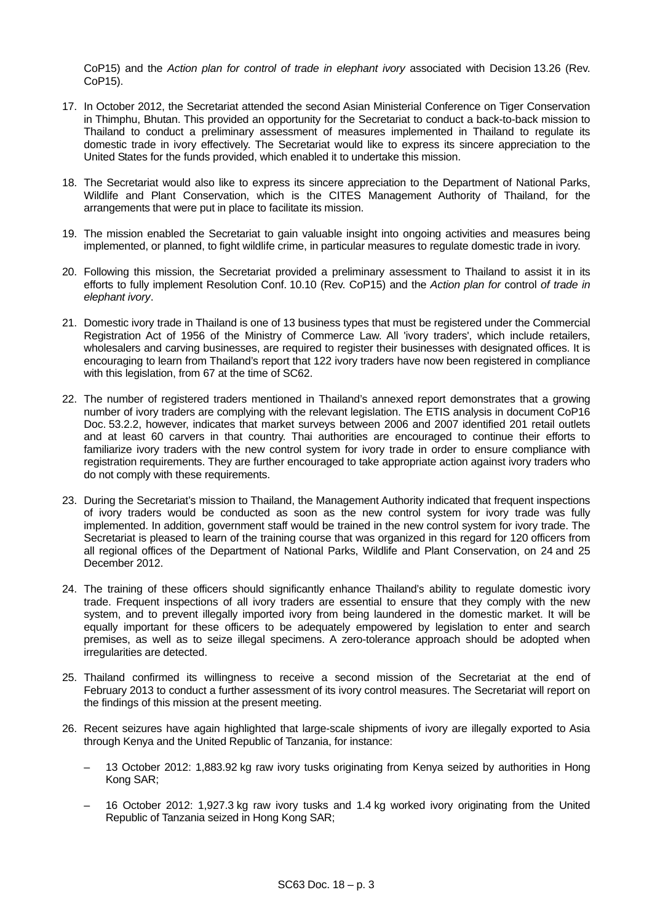CoP15) and the *Action plan for control of trade in elephant ivory* associated with Decision 13.26 (Rev.  $C<sub>0</sub>P<sub>15</sub>$ .

- 17. In October 2012, the Secretariat attended the second Asian Ministerial Conference on Tiger Conservation in Thimphu, Bhutan. This provided an opportunity for the Secretariat to conduct a back-to-back mission to Thailand to conduct a preliminary assessment of measures implemented in Thailand to regulate its domestic trade in ivory effectively. The Secretariat would like to express its sincere appreciation to the United States for the funds provided, which enabled it to undertake this mission.
- 18. The Secretariat would also like to express its sincere appreciation to the Department of National Parks, Wildlife and Plant Conservation, which is the CITES Management Authority of Thailand, for the arrangements that were put in place to facilitate its mission.
- 19. The mission enabled the Secretariat to gain valuable insight into ongoing activities and measures being implemented, or planned, to fight wildlife crime, in particular measures to regulate domestic trade in ivory.
- 20. Following this mission, the Secretariat provided a preliminary assessment to Thailand to assist it in its efforts to fully implement Resolution Conf. 10.10 (Rev. CoP15) and the *Action plan for* control *of trade in elephant ivory*.
- 21. Domestic ivory trade in Thailand is one of 13 business types that must be registered under the Commercial Registration Act of 1956 of the Ministry of Commerce Law. All 'ivory traders', which include retailers, wholesalers and carving businesses, are required to register their businesses with designated offices. It is encouraging to learn from Thailand's report that 122 ivory traders have now been registered in compliance with this legislation, from 67 at the time of SC62.
- 22. The number of registered traders mentioned in Thailand's annexed report demonstrates that a growing number of ivory traders are complying with the relevant legislation. The ETIS analysis in document CoP16 Doc. 53.2.2, however, indicates that market surveys between 2006 and 2007 identified 201 retail outlets and at least 60 carvers in that country. Thai authorities are encouraged to continue their efforts to familiarize ivory traders with the new control system for ivory trade in order to ensure compliance with registration requirements. They are further encouraged to take appropriate action against ivory traders who do not comply with these requirements.
- 23. During the Secretariat's mission to Thailand, the Management Authority indicated that frequent inspections of ivory traders would be conducted as soon as the new control system for ivory trade was fully implemented. In addition, government staff would be trained in the new control system for ivory trade. The Secretariat is pleased to learn of the training course that was organized in this regard for 120 officers from all regional offices of the Department of National Parks, Wildlife and Plant Conservation, on 24 and 25 December 2012.
- 24. The training of these officers should significantly enhance Thailand's ability to regulate domestic ivory trade. Frequent inspections of all ivory traders are essential to ensure that they comply with the new system, and to prevent illegally imported ivory from being laundered in the domestic market. It will be equally important for these officers to be adequately empowered by legislation to enter and search premises, as well as to seize illegal specimens. A zero-tolerance approach should be adopted when irregularities are detected.
- 25. Thailand confirmed its willingness to receive a second mission of the Secretariat at the end of February 2013 to conduct a further assessment of its ivory control measures. The Secretariat will report on the findings of this mission at the present meeting.
- 26. Recent seizures have again highlighted that large-scale shipments of ivory are illegally exported to Asia through Kenya and the United Republic of Tanzania, for instance:
	- 13 October 2012: 1,883.92 kg raw ivory tusks originating from Kenya seized by authorities in Hong Kong SAR;
	- 16 October 2012: 1,927.3 kg raw ivory tusks and 1.4 kg worked ivory originating from the United Republic of Tanzania seized in Hong Kong SAR;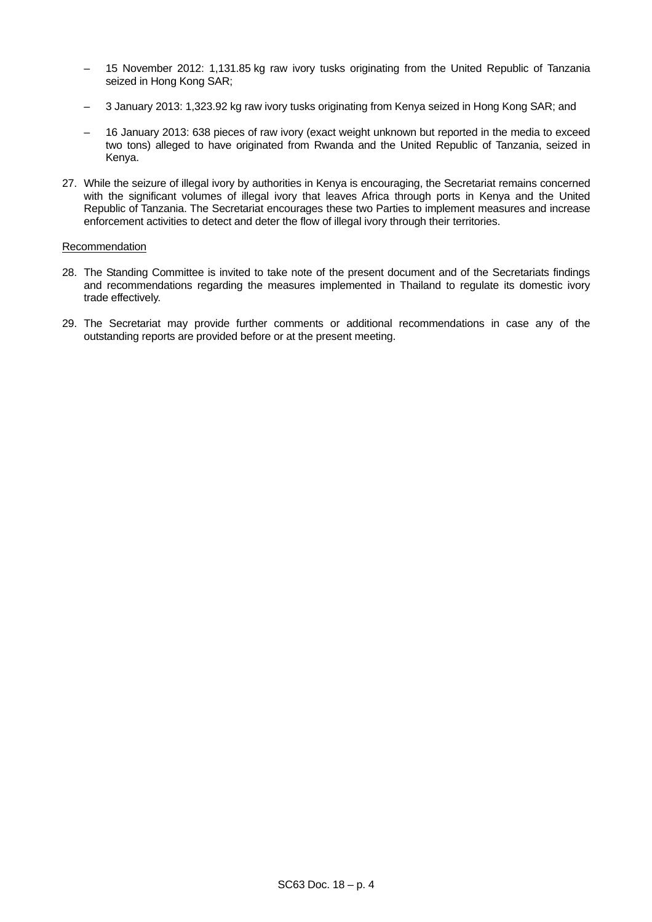- 15 November 2012: 1,131.85 kg raw ivory tusks originating from the United Republic of Tanzania seized in Hong Kong SAR;
- 3 January 2013: 1,323.92 kg raw ivory tusks originating from Kenya seized in Hong Kong SAR; and
- 16 January 2013: 638 pieces of raw ivory (exact weight unknown but reported in the media to exceed two tons) alleged to have originated from Rwanda and the United Republic of Tanzania, seized in Kenya.
- 27. While the seizure of illegal ivory by authorities in Kenya is encouraging, the Secretariat remains concerned with the significant volumes of illegal ivory that leaves Africa through ports in Kenya and the United Republic of Tanzania. The Secretariat encourages these two Parties to implement measures and increase enforcement activities to detect and deter the flow of illegal ivory through their territories.

# Recommendation

- 28. The Standing Committee is invited to take note of the present document and of the Secretariats findings and recommendations regarding the measures implemented in Thailand to regulate its domestic ivory trade effectively.
- 29. The Secretariat may provide further comments or additional recommendations in case any of the outstanding reports are provided before or at the present meeting.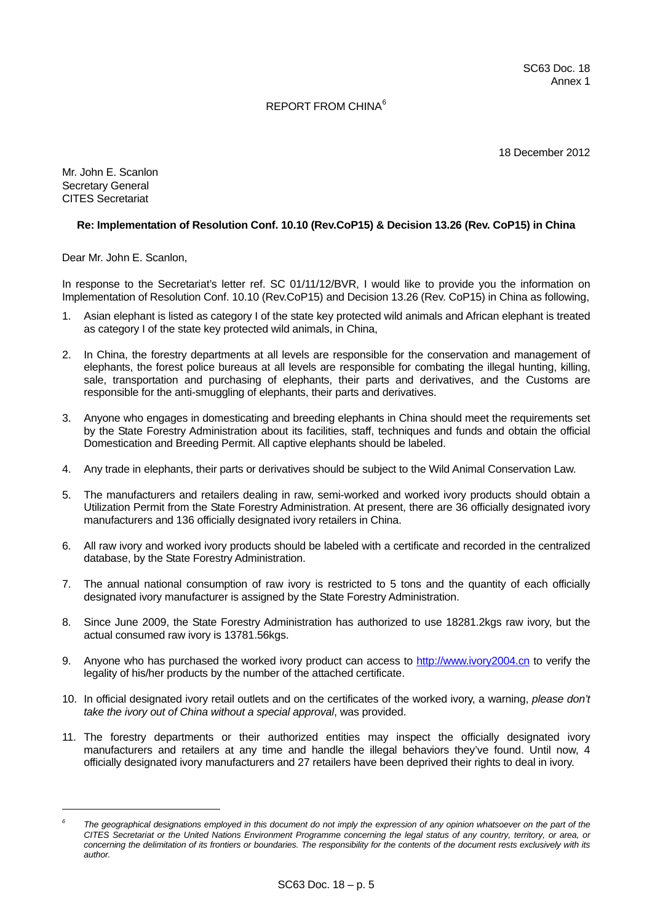# REPORT FROM CHINA[6](#page-4-0)

18 December 2012

Mr. John E. Scanlon Secretary General CITES Secretariat

l

# **Re: Implementation of Resolution Conf. 10.10 (Rev.CoP15) & Decision 13.26 (Rev. CoP15) in China**

Dear Mr. John E. Scanlon,

In response to the Secretariat's letter ref. SC 01/11/12/BVR, I would like to provide you the information on Implementation of Resolution Conf. 10.10 (Rev.CoP15) and Decision 13.26 (Rev. CoP15) in China as following,

- 1. Asian elephant is listed as category I of the state key protected wild animals and African elephant is treated as category I of the state key protected wild animals, in China,
- 2. In China, the forestry departments at all levels are responsible for the conservation and management of elephants, the forest police bureaus at all levels are responsible for combating the illegal hunting, killing, sale, transportation and purchasing of elephants, their parts and derivatives, and the Customs are responsible for the anti-smuggling of elephants, their parts and derivatives.
- 3. Anyone who engages in domesticating and breeding elephants in China should meet the requirements set by the State Forestry Administration about its facilities, staff, techniques and funds and obtain the official Domestication and Breeding Permit. All captive elephants should be labeled.
- 4. Any trade in elephants, their parts or derivatives should be subject to the Wild Animal Conservation Law.
- 5. The manufacturers and retailers dealing in raw, semi-worked and worked ivory products should obtain a Utilization Permit from the State Forestry Administration. At present, there are 36 officially designated ivory manufacturers and 136 officially designated ivory retailers in China.
- 6. All raw ivory and worked ivory products should be labeled with a certificate and recorded in the centralized database, by the State Forestry Administration.
- 7. The annual national consumption of raw ivory is restricted to 5 tons and the quantity of each officially designated ivory manufacturer is assigned by the State Forestry Administration.
- 8. Since June 2009, the State Forestry Administration has authorized to use 18281.2kgs raw ivory, but the actual consumed raw ivory is 13781.56kgs.
- 9. Anyone who has purchased the worked ivory product can access to [http://www.ivory2004.cn](http://www.ivory2004.cn/) to verify the legality of his/her products by the number of the attached certificate.
- 10. In official designated ivory retail outlets and on the certificates of the worked ivory, a warning, *please don't take the ivory out of China without a special approval*, was provided.
- 11. The forestry departments or their authorized entities may inspect the officially designated ivory manufacturers and retailers at any time and handle the illegal behaviors they've found. Until now, 4 officially designated ivory manufacturers and 27 retailers have been deprived their rights to deal in ivory.

<span id="page-4-0"></span>*<sup>6</sup>* The geographical designations employed in this document do not imply the expression of any opinion whatsoever on the part of the *CITES Secretariat or the United Nations Environment Programme concerning the legal status of any country, territory, or area, or concerning the delimitation of its frontiers or boundaries. The responsibility for the contents of the document rests exclusively with its author.*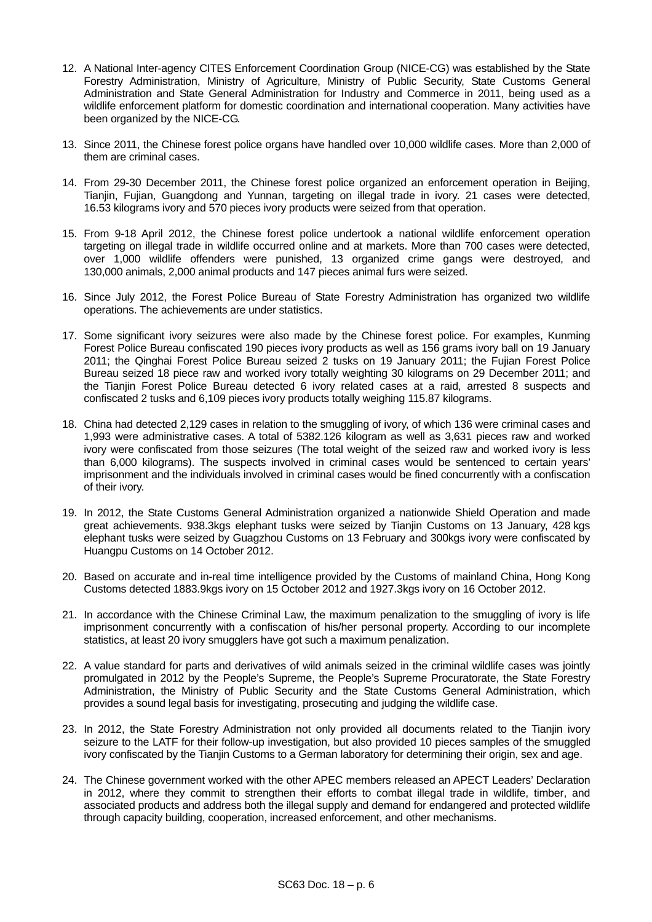- 12. A National Inter-agency CITES Enforcement Coordination Group (NICE-CG) was established by the State Forestry Administration, Ministry of Agriculture, Ministry of Public Security, State Customs General Administration and State General Administration for Industry and Commerce in 2011, being used as a wildlife enforcement platform for domestic coordination and international cooperation. Many activities have been organized by the NICE-CG.
- 13. Since 2011, the Chinese forest police organs have handled over 10,000 wildlife cases. More than 2,000 of them are criminal cases.
- 14. From 29-30 December 2011, the Chinese forest police organized an enforcement operation in Beijing, Tianjin, Fujian, Guangdong and Yunnan, targeting on illegal trade in ivory. 21 cases were detected, 16.53 kilograms ivory and 570 pieces ivory products were seized from that operation.
- 15. From 9-18 April 2012, the Chinese forest police undertook a national wildlife enforcement operation targeting on illegal trade in wildlife occurred online and at markets. More than 700 cases were detected, over 1,000 wildlife offenders were punished, 13 organized crime gangs were destroyed, and 130,000 animals, 2,000 animal products and 147 pieces animal furs were seized.
- 16. Since July 2012, the Forest Police Bureau of State Forestry Administration has organized two wildlife operations. The achievements are under statistics.
- 17. Some significant ivory seizures were also made by the Chinese forest police. For examples, Kunming Forest Police Bureau confiscated 190 pieces ivory products as well as 156 grams ivory ball on 19 January 2011; the Qinghai Forest Police Bureau seized 2 tusks on 19 January 2011; the Fujian Forest Police Bureau seized 18 piece raw and worked ivory totally weighting 30 kilograms on 29 December 2011; and the Tianjin Forest Police Bureau detected 6 ivory related cases at a raid, arrested 8 suspects and confiscated 2 tusks and 6,109 pieces ivory products totally weighing 115.87 kilograms.
- 18. China had detected 2,129 cases in relation to the smuggling of ivory, of which 136 were criminal cases and 1,993 were administrative cases. A total of 5382.126 kilogram as well as 3,631 pieces raw and worked ivory were confiscated from those seizures (The total weight of the seized raw and worked ivory is less than 6,000 kilograms). The suspects involved in criminal cases would be sentenced to certain years' imprisonment and the individuals involved in criminal cases would be fined concurrently with a confiscation of their ivory.
- 19. In 2012, the State Customs General Administration organized a nationwide Shield Operation and made great achievements. 938.3kgs elephant tusks were seized by Tianjin Customs on 13 January, 428 kgs elephant tusks were seized by Guagzhou Customs on 13 February and 300kgs ivory were confiscated by Huangpu Customs on 14 October 2012.
- 20. Based on accurate and in-real time intelligence provided by the Customs of mainland China, Hong Kong Customs detected 1883.9kgs ivory on 15 October 2012 and 1927.3kgs ivory on 16 October 2012.
- 21. In accordance with the Chinese Criminal Law, the maximum penalization to the smuggling of ivory is life imprisonment concurrently with a confiscation of his/her personal property. According to our incomplete statistics, at least 20 ivory smugglers have got such a maximum penalization.
- 22. A value standard for parts and derivatives of wild animals seized in the criminal wildlife cases was jointly promulgated in 2012 by the People's Supreme, the People's Supreme Procuratorate, the State Forestry Administration, the Ministry of Public Security and the State Customs General Administration, which provides a sound legal basis for investigating, prosecuting and judging the wildlife case.
- 23. In 2012, the State Forestry Administration not only provided all documents related to the Tianjin ivory seizure to the LATF for their follow-up investigation, but also provided 10 pieces samples of the smuggled ivory confiscated by the Tianjin Customs to a German laboratory for determining their origin, sex and age.
- 24. The Chinese government worked with the other APEC members released an APECT Leaders' Declaration in 2012, where they commit to strengthen their efforts to combat illegal trade in wildlife, timber, and associated products and address both the illegal supply and demand for endangered and protected wildlife through capacity building, cooperation, increased enforcement, and other mechanisms.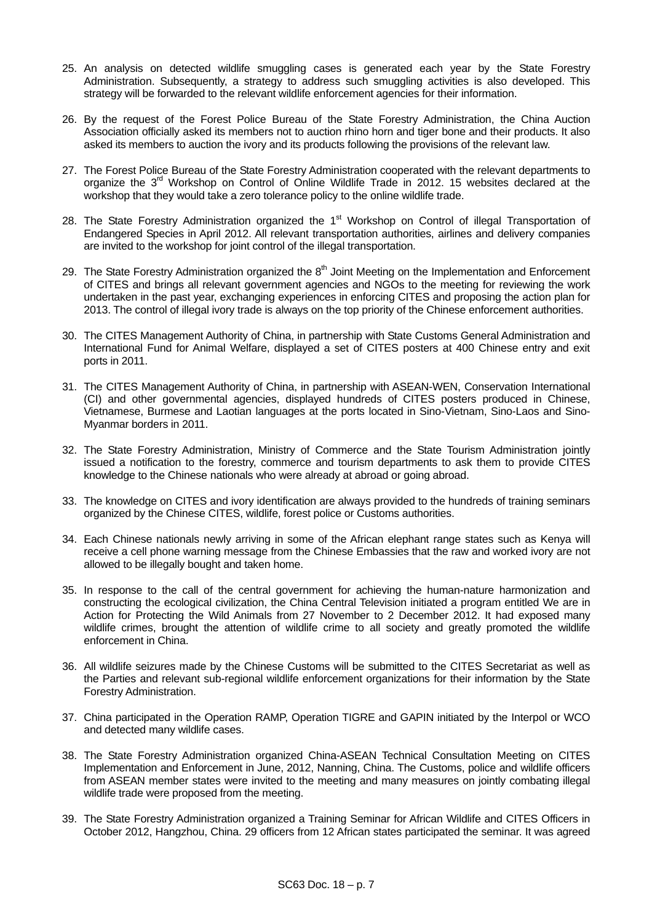- 25. An analysis on detected wildlife smuggling cases is generated each year by the State Forestry Administration. Subsequently, a strategy to address such smuggling activities is also developed. This strategy will be forwarded to the relevant wildlife enforcement agencies for their information.
- 26. By the request of the Forest Police Bureau of the State Forestry Administration, the China Auction Association officially asked its members not to auction rhino horn and tiger bone and their products. It also asked its members to auction the ivory and its products following the provisions of the relevant law.
- 27. The Forest Police Bureau of the State Forestry Administration cooperated with the relevant departments to organize the 3<sup>rd</sup> Workshop on Control of Online Wildlife Trade in 2012. 15 websites declared at the workshop that they would take a zero tolerance policy to the online wildlife trade.
- 28. The State Forestry Administration organized the 1<sup>st</sup> Workshop on Control of illegal Transportation of Endangered Species in April 2012. All relevant transportation authorities, airlines and delivery companies are invited to the workshop for joint control of the illegal transportation.
- 29. The State Forestry Administration organized the 8<sup>th</sup> Joint Meeting on the Implementation and Enforcement of CITES and brings all relevant government agencies and NGOs to the meeting for reviewing the work undertaken in the past year, exchanging experiences in enforcing CITES and proposing the action plan for 2013. The control of illegal ivory trade is always on the top priority of the Chinese enforcement authorities.
- 30. The CITES Management Authority of China, in partnership with State Customs General Administration and International Fund for Animal Welfare, displayed a set of CITES posters at 400 Chinese entry and exit ports in 2011.
- 31. The CITES Management Authority of China, in partnership with ASEAN-WEN, Conservation International (CI) and other governmental agencies, displayed hundreds of CITES posters produced in Chinese, Vietnamese, Burmese and Laotian languages at the ports located in Sino-Vietnam, Sino-Laos and Sino-Myanmar borders in 2011.
- 32. The State Forestry Administration, Ministry of Commerce and the State Tourism Administration jointly issued a notification to the forestry, commerce and tourism departments to ask them to provide CITES knowledge to the Chinese nationals who were already at abroad or going abroad.
- 33. The knowledge on CITES and ivory identification are always provided to the hundreds of training seminars organized by the Chinese CITES, wildlife, forest police or Customs authorities.
- 34. Each Chinese nationals newly arriving in some of the African elephant range states such as Kenya will receive a cell phone warning message from the Chinese Embassies that the raw and worked ivory are not allowed to be illegally bought and taken home.
- 35. In response to the call of the central government for achieving the human-nature harmonization and constructing the ecological civilization, the China Central Television initiated a program entitled We are in Action for Protecting the Wild Animals from 27 November to 2 December 2012. It had exposed many wildlife crimes, brought the attention of wildlife crime to all society and greatly promoted the wildlife enforcement in China.
- 36. All wildlife seizures made by the Chinese Customs will be submitted to the CITES Secretariat as well as the Parties and relevant sub-regional wildlife enforcement organizations for their information by the State Forestry Administration.
- 37. China participated in the Operation RAMP, Operation TIGRE and GAPIN initiated by the Interpol or WCO and detected many wildlife cases.
- 38. The State Forestry Administration organized China-ASEAN Technical Consultation Meeting on CITES Implementation and Enforcement in June, 2012, Nanning, China. The Customs, police and wildlife officers from ASEAN member states were invited to the meeting and many measures on jointly combating illegal wildlife trade were proposed from the meeting.
- 39. The State Forestry Administration organized a Training Seminar for African Wildlife and CITES Officers in October 2012, Hangzhou, China. 29 officers from 12 African states participated the seminar. It was agreed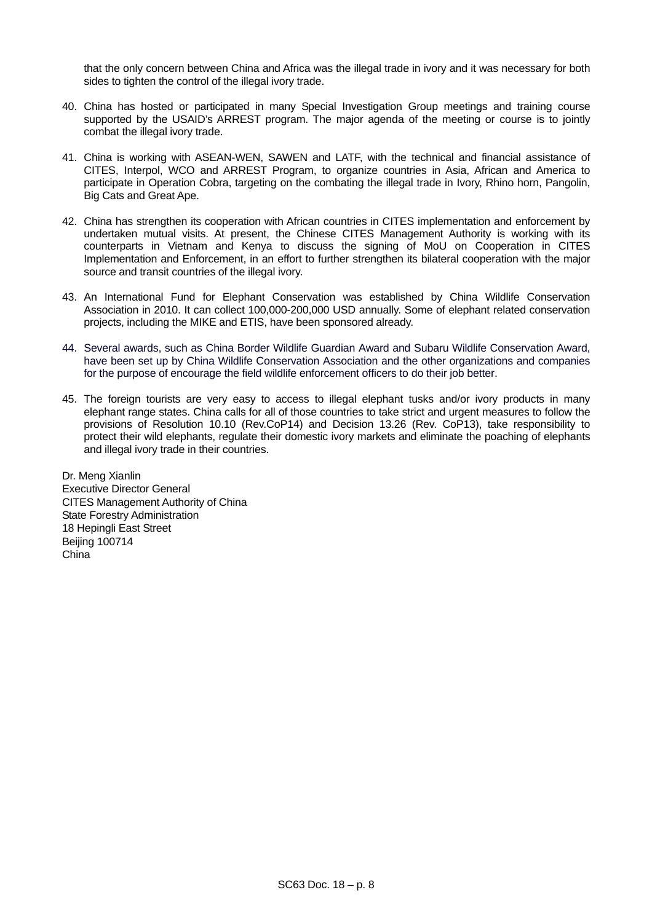that the only concern between China and Africa was the illegal trade in ivory and it was necessary for both sides to tighten the control of the illegal ivory trade.

- 40. China has hosted or participated in many Special Investigation Group meetings and training course supported by the USAID's ARREST program. The major agenda of the meeting or course is to jointly combat the illegal ivory trade.
- 41. China is working with ASEAN-WEN, SAWEN and LATF, with the technical and financial assistance of CITES, Interpol, WCO and ARREST Program, to organize countries in Asia, African and America to participate in Operation Cobra, targeting on the combating the illegal trade in Ivory, Rhino horn, Pangolin, Big Cats and Great Ape.
- 42. China has strengthen its cooperation with African countries in CITES implementation and enforcement by undertaken mutual visits. At present, the Chinese CITES Management Authority is working with its counterparts in Vietnam and Kenya to discuss the signing of MoU on Cooperation in CITES Implementation and Enforcement, in an effort to further strengthen its bilateral cooperation with the major source and transit countries of the illegal ivory.
- 43. An International Fund for Elephant Conservation was established by China Wildlife Conservation Association in 2010. It can collect 100,000-200,000 USD annually. Some of elephant related conservation projects, including the MIKE and ETIS, have been sponsored already.
- 44. Several awards, such as China Border Wildlife Guardian Award and Subaru Wildlife Conservation Award, have been set up by China Wildlife Conservation Association and the other organizations and companies for the purpose of encourage the field wildlife enforcement officers to do their job better.
- 45. The foreign tourists are very easy to access to illegal elephant tusks and/or ivory products in many elephant range states. China calls for all of those countries to take strict and urgent measures to follow the provisions of Resolution 10.10 (Rev.CoP14) and Decision 13.26 (Rev. CoP13), take responsibility to protect their wild elephants, regulate their domestic ivory markets and eliminate the poaching of elephants and illegal ivory trade in their countries.

Dr. Meng Xianlin Executive Director General CITES Management Authority of China State Forestry Administration 18 Hepingli East Street Beijing 100714 China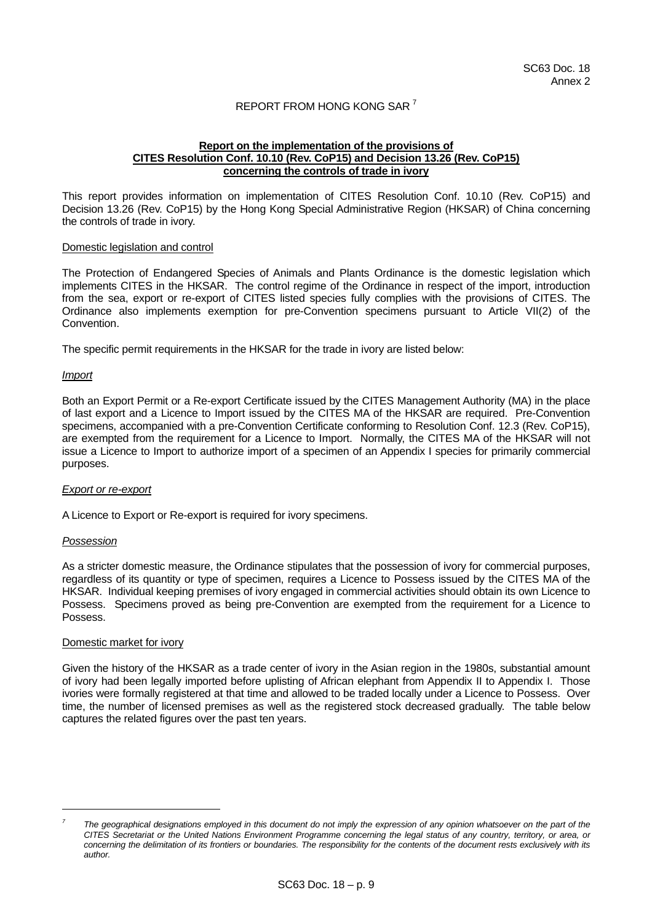# REPORT FROM HONG KONG SAR [7](#page-8-0)

### **Report on the implementation of the provisions of CITES Resolution Conf. 10.10 (Rev. CoP15) and Decision 13.26 (Rev. CoP15) concerning the controls of trade in ivory**

This report provides information on implementation of CITES Resolution Conf. 10.10 (Rev. CoP15) and Decision 13.26 (Rev. CoP15) by the Hong Kong Special Administrative Region (HKSAR) of China concerning the controls of trade in ivory.

### Domestic legislation and control

The Protection of Endangered Species of Animals and Plants Ordinance is the domestic legislation which implements CITES in the HKSAR. The control regime of the Ordinance in respect of the import, introduction from the sea, export or re-export of CITES listed species fully complies with the provisions of CITES. The Ordinance also implements exemption for pre-Convention specimens pursuant to Article VII(2) of the Convention.

The specific permit requirements in the HKSAR for the trade in ivory are listed below:

### *Import*

Both an Export Permit or a Re-export Certificate issued by the CITES Management Authority (MA) in the place of last export and a Licence to Import issued by the CITES MA of the HKSAR are required. Pre-Convention specimens, accompanied with a pre-Convention Certificate conforming to Resolution Conf. 12.3 (Rev. CoP15), are exempted from the requirement for a Licence to Import. Normally, the CITES MA of the HKSAR will not issue a Licence to Import to authorize import of a specimen of an Appendix I species for primarily commercial purposes.

#### *Export or re-export*

A Licence to Export or Re-export is required for ivory specimens.

#### *Possession*

As a stricter domestic measure, the Ordinance stipulates that the possession of ivory for commercial purposes, regardless of its quantity or type of specimen, requires a Licence to Possess issued by the CITES MA of the HKSAR. Individual keeping premises of ivory engaged in commercial activities should obtain its own Licence to Possess. Specimens proved as being pre-Convention are exempted from the requirement for a Licence to Possess.

### Domestic market for ivory

Given the history of the HKSAR as a trade center of ivory in the Asian region in the 1980s, substantial amount of ivory had been legally imported before uplisting of African elephant from Appendix II to Appendix I. Those ivories were formally registered at that time and allowed to be traded locally under a Licence to Possess. Over time, the number of licensed premises as well as the registered stock decreased gradually. The table below captures the related figures over the past ten years.

<span id="page-8-0"></span>l *7*

*The geographical designations employed in this document do not imply the expression of any opinion whatsoever on the part of the CITES Secretariat or the United Nations Environment Programme concerning the legal status of any country, territory, or area, or concerning the delimitation of its frontiers or boundaries. The responsibility for the contents of the document rests exclusively with its author.*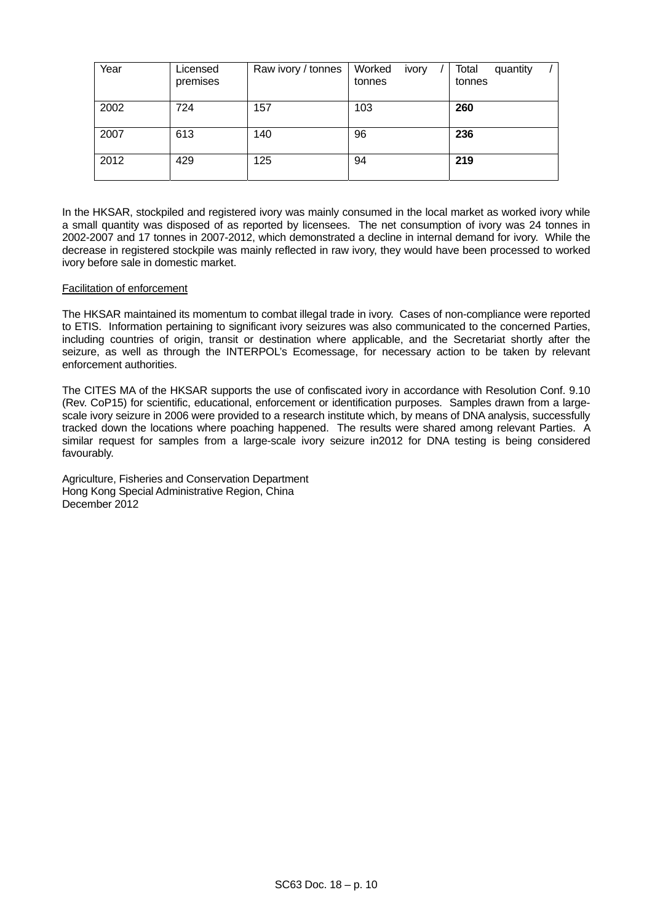| Year | Licensed<br>premises | Raw ivory / tonnes | Worked<br>ivory<br>tonnes | Total<br>quantity<br>tonnes |
|------|----------------------|--------------------|---------------------------|-----------------------------|
| 2002 | 724                  | 157                | 103                       | 260                         |
| 2007 | 613                  | 140                | 96                        | 236                         |
| 2012 | 429                  | 125                | 94                        | 219                         |

In the HKSAR, stockpiled and registered ivory was mainly consumed in the local market as worked ivory while a small quantity was disposed of as reported by licensees. The net consumption of ivory was 24 tonnes in 2002-2007 and 17 tonnes in 2007-2012, which demonstrated a decline in internal demand for ivory. While the decrease in registered stockpile was mainly reflected in raw ivory, they would have been processed to worked ivory before sale in domestic market.

# Facilitation of enforcement

The HKSAR maintained its momentum to combat illegal trade in ivory. Cases of non-compliance were reported to ETIS. Information pertaining to significant ivory seizures was also communicated to the concerned Parties, including countries of origin, transit or destination where applicable, and the Secretariat shortly after the seizure, as well as through the INTERPOL's Ecomessage, for necessary action to be taken by relevant enforcement authorities.

The CITES MA of the HKSAR supports the use of confiscated ivory in accordance with Resolution Conf. 9.10 (Rev. CoP15) for scientific, educational, enforcement or identification purposes. Samples drawn from a largescale ivory seizure in 2006 were provided to a research institute which, by means of DNA analysis, successfully tracked down the locations where poaching happened. The results were shared among relevant Parties. A similar request for samples from a large-scale ivory seizure in2012 for DNA testing is being considered favourably.

Agriculture, Fisheries and Conservation Department Hong Kong Special Administrative Region, China December 2012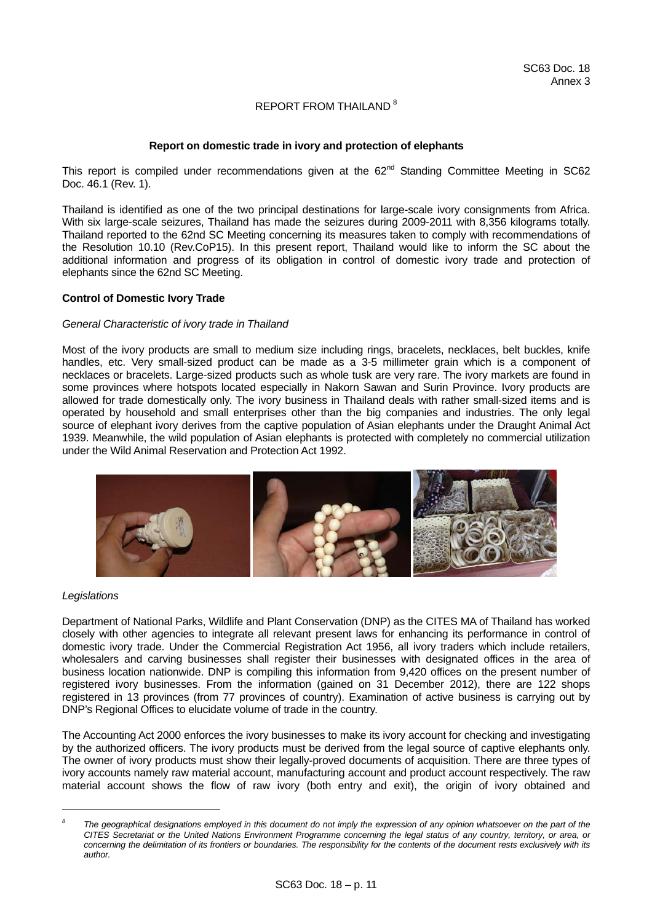# REPORT FROM THAILAND<sup>[8](#page-10-0)</sup>

## **Report on domestic trade in ivory and protection of elephants**

This report is compiled under recommendations given at the 62<sup>nd</sup> Standing Committee Meeting in SC62 Doc. 46.1 (Rev. 1).

Thailand is identified as one of the two principal destinations for large-scale ivory consignments from Africa. With six large-scale seizures, Thailand has made the seizures during 2009-2011 with 8,356 kilograms totally. Thailand reported to the 62nd SC Meeting concerning its measures taken to comply with recommendations of the Resolution 10.10 (Rev.CoP15). In this present report, Thailand would like to inform the SC about the additional information and progress of its obligation in control of domestic ivory trade and protection of elephants since the 62nd SC Meeting.

# **Control of Domestic Ivory Trade**

### *General Characteristic of ivory trade in Thailand*

Most of the ivory products are small to medium size including rings, bracelets, necklaces, belt buckles, knife handles, etc. Very small-sized product can be made as a 3-5 millimeter grain which is a component of necklaces or bracelets. Large-sized products such as whole tusk are very rare. The ivory markets are found in some provinces where hotspots located especially in Nakorn Sawan and Surin Province. Ivory products are allowed for trade domestically only. The ivory business in Thailand deals with rather small-sized items and is operated by household and small enterprises other than the big companies and industries. The only legal source of elephant ivory derives from the captive population of Asian elephants under the Draught Animal Act 1939. Meanwhile, the wild population of Asian elephants is protected with completely no commercial utilization under the Wild Animal Reservation and Protection Act 1992.



### *Legislations*

l

Department of National Parks, Wildlife and Plant Conservation (DNP) as the CITES MA of Thailand has worked closely with other agencies to integrate all relevant present laws for enhancing its performance in control of domestic ivory trade. Under the Commercial Registration Act 1956, all ivory traders which include retailers, wholesalers and carving businesses shall register their businesses with designated offices in the area of business location nationwide. DNP is compiling this information from 9,420 offices on the present number of registered ivory businesses. From the information (gained on 31 December 2012), there are 122 shops registered in 13 provinces (from 77 provinces of country). Examination of active business is carrying out by DNP's Regional Offices to elucidate volume of trade in the country.

The Accounting Act 2000 enforces the ivory businesses to make its ivory account for checking and investigating by the authorized officers. The ivory products must be derived from the legal source of captive elephants only. The owner of ivory products must show their legally-proved documents of acquisition. There are three types of ivory accounts namely raw material account, manufacturing account and product account respectively. The raw material account shows the flow of raw ivory (both entry and exit), the origin of ivory obtained and

<span id="page-10-0"></span>*<sup>8</sup> The geographical designations employed in this document do not imply the expression of any opinion whatsoever on the part of the CITES Secretariat or the United Nations Environment Programme concerning the legal status of any country, territory, or area, or concerning the delimitation of its frontiers or boundaries. The responsibility for the contents of the document rests exclusively with its author.*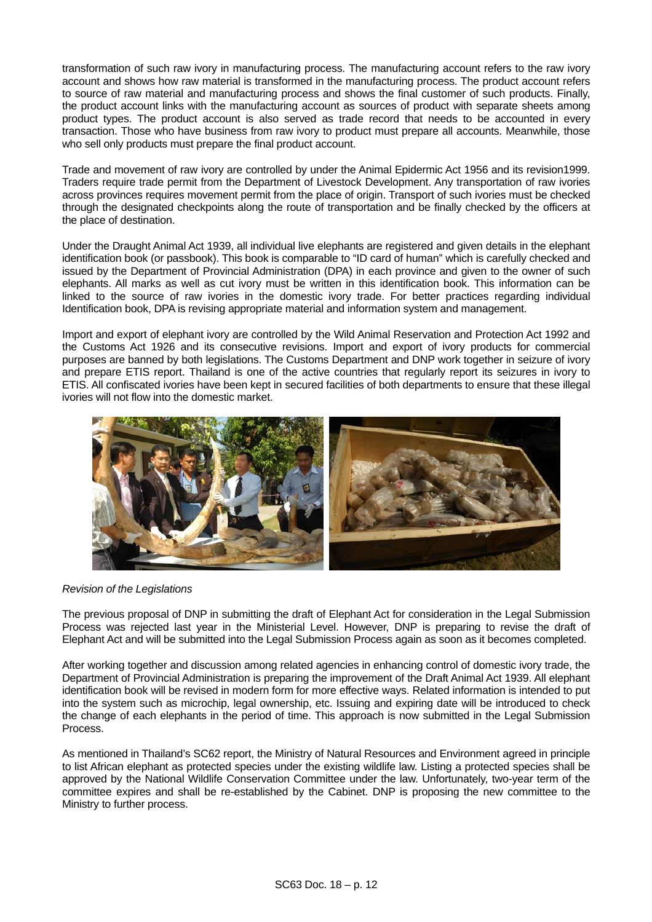transformation of such raw ivory in manufacturing process. The manufacturing account refers to the raw ivory account and shows how raw material is transformed in the manufacturing process. The product account refers to source of raw material and manufacturing process and shows the final customer of such products. Finally, the product account links with the manufacturing account as sources of product with separate sheets among product types. The product account is also served as trade record that needs to be accounted in every transaction. Those who have business from raw ivory to product must prepare all accounts. Meanwhile, those who sell only products must prepare the final product account.

Trade and movement of raw ivory are controlled by under the Animal Epidermic Act 1956 and its revision1999. Traders require trade permit from the Department of Livestock Development. Any transportation of raw ivories across provinces requires movement permit from the place of origin. Transport of such ivories must be checked through the designated checkpoints along the route of transportation and be finally checked by the officers at the place of destination.

Under the Draught Animal Act 1939, all individual live elephants are registered and given details in the elephant identification book (or passbook). This book is comparable to "ID card of human" which is carefully checked and issued by the Department of Provincial Administration (DPA) in each province and given to the owner of such elephants. All marks as well as cut ivory must be written in this identification book. This information can be linked to the source of raw ivories in the domestic ivory trade. For better practices regarding individual Identification book, DPA is revising appropriate material and information system and management.

Import and export of elephant ivory are controlled by the Wild Animal Reservation and Protection Act 1992 and the Customs Act 1926 and its consecutive revisions. Import and export of ivory products for commercial purposes are banned by both legislations. The Customs Department and DNP work together in seizure of ivory and prepare ETIS report. Thailand is one of the active countries that regularly report its seizures in ivory to ETIS. All confiscated ivories have been kept in secured facilities of both departments to ensure that these illegal ivories will not flow into the domestic market.



# *Revision of the Legislations*

The previous proposal of DNP in submitting the draft of Elephant Act for consideration in the Legal Submission Process was rejected last year in the Ministerial Level. However, DNP is preparing to revise the draft of Elephant Act and will be submitted into the Legal Submission Process again as soon as it becomes completed.

After working together and discussion among related agencies in enhancing control of domestic ivory trade, the Department of Provincial Administration is preparing the improvement of the Draft Animal Act 1939. All elephant identification book will be revised in modern form for more effective ways. Related information is intended to put into the system such as microchip, legal ownership, etc. Issuing and expiring date will be introduced to check the change of each elephants in the period of time. This approach is now submitted in the Legal Submission Process.

As mentioned in Thailand's SC62 report, the Ministry of Natural Resources and Environment agreed in principle to list African elephant as protected species under the existing wildlife law. Listing a protected species shall be approved by the National Wildlife Conservation Committee under the law. Unfortunately, two-year term of the committee expires and shall be re-established by the Cabinet. DNP is proposing the new committee to the Ministry to further process.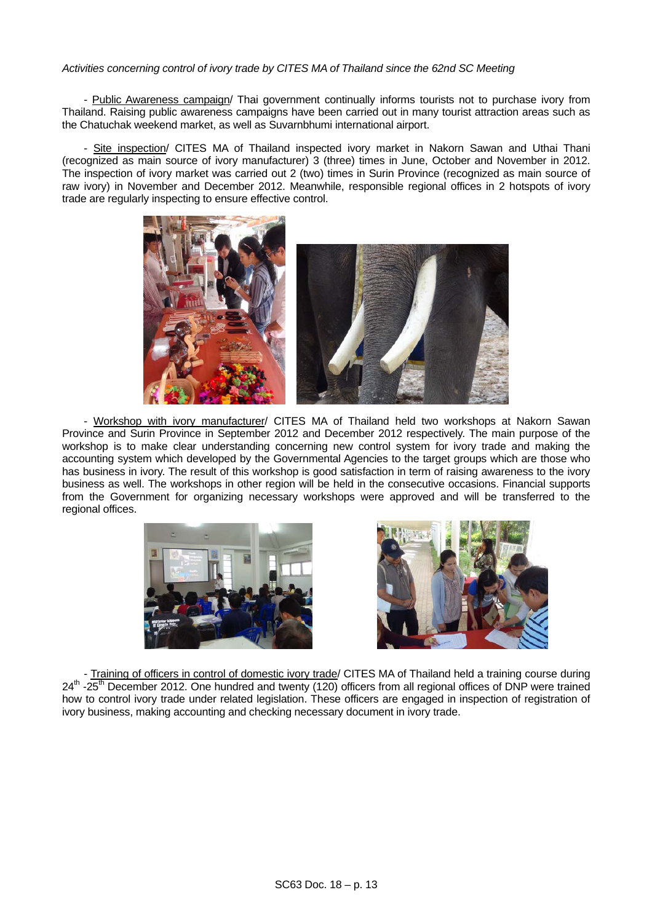# *Activities concerning control of ivory trade by CITES MA of Thailand since the 62nd SC Meeting*

- Public Awareness campaign/ Thai government continually informs tourists not to purchase ivory from Thailand. Raising public awareness campaigns have been carried out in many tourist attraction areas such as the Chatuchak weekend market, as well as Suvarnbhumi international airport.

- Site inspection/ CITES MA of Thailand inspected ivory market in Nakorn Sawan and Uthai Thani (recognized as main source of ivory manufacturer) 3 (three) times in June, October and November in 2012. The inspection of ivory market was carried out 2 (two) times in Surin Province (recognized as main source of raw ivory) in November and December 2012. Meanwhile, responsible regional offices in 2 hotspots of ivory trade are regularly inspecting to ensure effective control.



 - Workshop with ivory manufacturer/ CITES MA of Thailand held two workshops at Nakorn Sawan Province and Surin Province in September 2012 and December 2012 respectively. The main purpose of the workshop is to make clear understanding concerning new control system for ivory trade and making the accounting system which developed by the Governmental Agencies to the target groups which are those who has business in ivory. The result of this workshop is good satisfaction in term of raising awareness to the ivory business as well. The workshops in other region will be held in the consecutive occasions. Financial supports from the Government for organizing necessary workshops were approved and will be transferred to the regional offices.





 - Training of officers in control of domestic ivory trade/ CITES MA of Thailand held a training course during 24<sup>th</sup> -25<sup>th</sup> December 2012. One hundred and twenty (120) officers from all regional offices of DNP were trained how to control ivory trade under related legislation. These officers are engaged in inspection of registration of ivory business, making accounting and checking necessary document in ivory trade.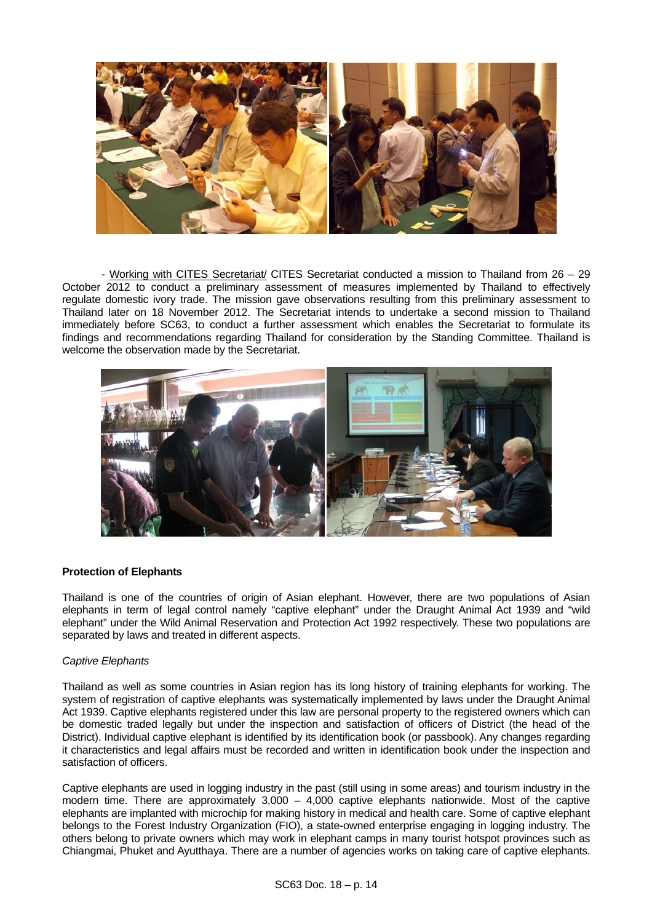

- Working with CITES Secretariat/ CITES Secretariat conducted a mission to Thailand from 26 – 29 October 2012 to conduct a preliminary assessment of measures implemented by Thailand to effectively regulate domestic ivory trade. The mission gave observations resulting from this preliminary assessment to Thailand later on 18 November 2012. The Secretariat intends to undertake a second mission to Thailand immediately before SC63, to conduct a further assessment which enables the Secretariat to formulate its findings and recommendations regarding Thailand for consideration by the Standing Committee. Thailand is welcome the observation made by the Secretariat.



# **Protection of Elephants**

Thailand is one of the countries of origin of Asian elephant. However, there are two populations of Asian elephants in term of legal control namely "captive elephant" under the Draught Animal Act 1939 and "wild elephant" under the Wild Animal Reservation and Protection Act 1992 respectively. These two populations are separated by laws and treated in different aspects.

### *Captive Elephants*

Thailand as well as some countries in Asian region has its long history of training elephants for working. The system of registration of captive elephants was systematically implemented by laws under the Draught Animal Act 1939. Captive elephants registered under this law are personal property to the registered owners which can be domestic traded legally but under the inspection and satisfaction of officers of District (the head of the District). Individual captive elephant is identified by its identification book (or passbook). Any changes regarding it characteristics and legal affairs must be recorded and written in identification book under the inspection and satisfaction of officers.

Captive elephants are used in logging industry in the past (still using in some areas) and tourism industry in the modern time. There are approximately 3,000 – 4,000 captive elephants nationwide. Most of the captive elephants are implanted with microchip for making history in medical and health care. Some of captive elephant belongs to the Forest Industry Organization (FIO), a state-owned enterprise engaging in logging industry. The others belong to private owners which may work in elephant camps in many tourist hotspot provinces such as Chiangmai, Phuket and Ayutthaya. There are a number of agencies works on taking care of captive elephants.